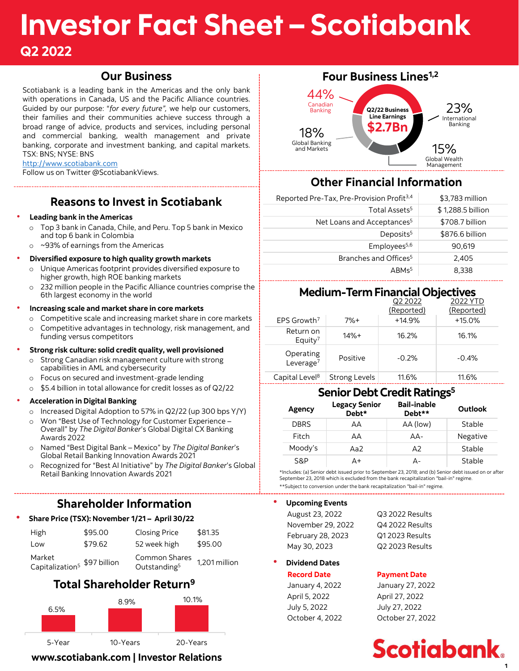# Investor Fact Sheet – Scotiabank Q2 2022

### **Our Business**

Scotiabank is a leading bank in the Americas and the only bank with operations in Canada, US and the Pacific Alliance countries. Guided by our purpose: "*for every future",* we help our customers, their families and their communities achieve success through a broad range of advice, products and services, including personal and commercial banking, wealth management and private banking, corporate and investment banking, and capital markets. TSX: BNS; NYSE: BNS

#### [http://www.scotiabank.com](http://www.scotiabank.com/)

Follow us on Twitter @ScotiabankViews.

### **Reasons to Invest in Scotiabank**

#### • **Leading bank in the Americas**

- o Top 3 bank in Canada, Chile, and Peru. Top 5 bank in Mexico and top 6 bank in Colombia
- o ~93% of earnings from the Americas

#### • **Diversified exposure to high quality growth markets**

- o Unique Americas footprint provides diversified exposure to higher growth, high ROE banking markets
- o 232 million people in the Pacific Alliance countries comprise the 6th largest economy in the world

#### • **Increasing scale and market share in core markets**

- o Competitive scale and increasing market share in core markets
- o Competitive advantages in technology, risk management, and funding versus competitors
- **Strong risk culture: solid credit quality, well provisioned** Strong Canadian risk management culture with strong capabilities in AML and cybersecurity
	- o Focus on secured and investment-grade lending
	- o \$5.4 billion in total allowance for credit losses as of Q2/22

#### • **Acceleration in Digital Banking**

- o Increased Digital Adoption to 57% in Q2/22 (up 300 bps Y/Y)
- o Won "Best Use of Technology for Customer Experience Overall" by *The Digital Banker*'s Global Digital CX Banking Awards 2022
- o Named "Best Digital Bank Mexico" by *The Digital Banker*'s Global Retail Banking Innovation Awards 2021
- o Recognized for "Best AI Initiative" by *The Digital Banker*'s Global Retail Banking Innovation Awards 2021

### **Shareholder Information**

#### • **Share Price (TSX): November 1/21 – April 30/22**

| <b>High</b> | \$95.00 | Closing Price | \$81.35 |
|-------------|---------|---------------|---------|
| Low         | \$79.62 | 52 week high  | \$95.00 |
| $M2$ rkot   |         | Common Sharos |         |

Market Capitalization<sup>5</sup> \$97 billion Common Shares Outstanding<sup>5</sup> 1,201 million

### **Total Shareholder Return<sup>9</sup>**







### **Other Financial Information**

| Reported Pre-Tax, Pre-Provision Profit <sup>3,4</sup> | \$3,783 million   |
|-------------------------------------------------------|-------------------|
| Total Assets <sup>5</sup>                             | \$1,288.5 billion |
| Net Loans and Acceptances <sup>5</sup>                | \$708.7 billion   |
| Deposits <sup>5</sup>                                 | \$876.6 billion   |
| Employees <sup>5,6</sup>                              | 90.619            |
| Branches and Offices <sup>5</sup>                     | 2.405             |
| ABMs <sup>5</sup>                                     | 8,338             |

#### **Medium-Term Financial Objectives**

|                                    |                      | Q2 2022<br>(Reported) | 2022 YTD<br>(Reported) |
|------------------------------------|----------------------|-----------------------|------------------------|
| EPS Growth <sup>7</sup>            | $7%+$                | $+14.9%$              | $+15.0%$               |
| Return on<br>Equity <sup>7</sup>   | $14% +$              | 16.2%                 | 16.1%                  |
| Operating<br>Leverage <sup>7</sup> | Positive             | $-0.2%$               | $-0.4%$                |
| Capital Level <sup>8</sup>         | <b>Strong Levels</b> | 11.6%                 | 11.6%                  |

### **Senior Debt Credit Ratings<sup>5</sup>**

| Agency         | <b>Legacy Senior</b><br>Debt* | <b>Bail-inable</b><br>Debt** | Outlook  |
|----------------|-------------------------------|------------------------------|----------|
| <b>DBRS</b>    | AА                            | AA (low)                     | Stable   |
| Fitch          | AА                            | $AA-$                        | Negative |
| Moody's        | Aa $2$                        | A2                           | Stable   |
| <b>S&amp;P</b> | Δ+                            | д-                           | Stable   |

\*Includes: (a) Senior debt issued prior to September 23, 2018; and (b) Senior debt issued on or after September 23, 2018 which is excluded from the bank recapitalization "bail-in" regime. \*\*Subject to conversion under the bank recapitalization "bail-in" regime.

#### • **Upcoming Events**

August 23, 2022 Q3 2022 Results November 29, 2022 Q4 2022 Results February 28, 2023 Q1 2023 Results May 30, 2023 Q2 2023 Results

#### • **Dividend Dates**

April 5, 2022 April 27, 2022 July 5, 2022 July 27, 2022

#### **Record Date Payment Date**

January 4, 2022 January 27, 2022 October 4, 2022 October 27, 2022

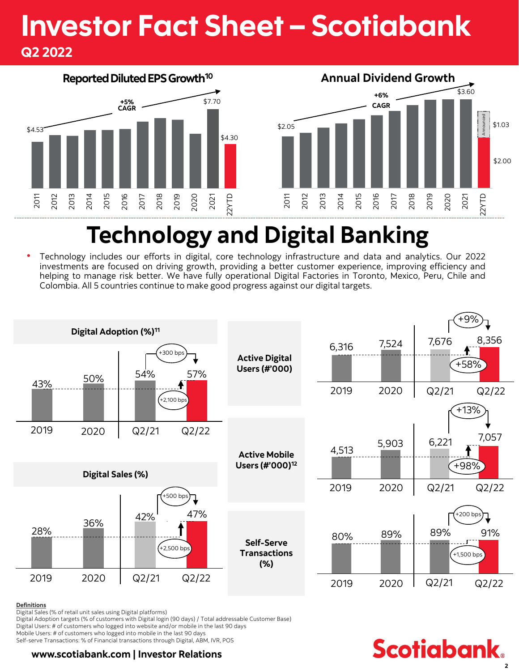# Investor Fact Sheet – Scotiabank Q2 2022



# **Technology and Digital Banking**

• Technology includes our efforts in digital, core technology infrastructure and data and analytics. Our 2022 investments are focused on driving growth, providing a better customer experience, improving efficiency and helping to manage risk better. We have fully operational Digital Factories in Toronto, Mexico, Peru, Chile and Colombia. All 5 countries continue to make good progress against our digital targets.



#### **Definitions**

Digital Sales (% of retail unit sales using Digital platforms)

Digital Adoption targets (% of customers with Digital login (90 days) / Total addressable Customer Base) Digital Users: # of customers who logged into website and/or mobile in the last 90 days

Mobile Users: # of customers who logged into mobile in the last 90 days

Self-serve Transactions: % of Financial transactions through Digital, ABM, IVR, POS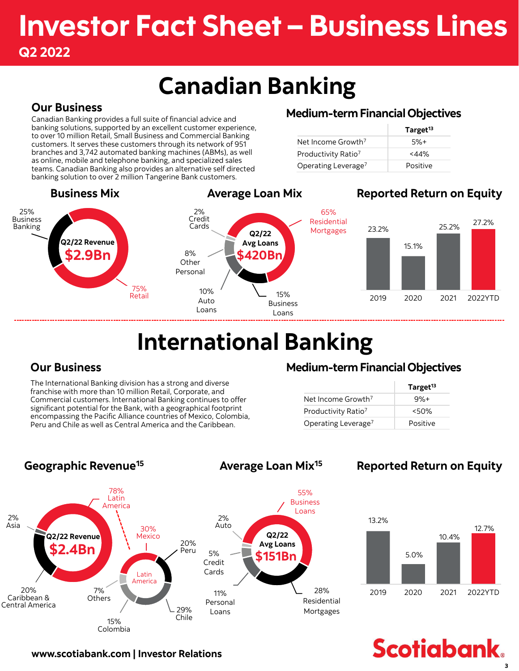# Investor Fact Sheet – Business Lines Q2 2022

# **Canadian Banking**

### **Our Business**

Canadian Banking provides a full suite of financial advice and banking solutions, supported by an excellent customer experience, to over 10 million Retail, Small Business and Commercial Banking customers. It serves these customers through its network of 951 branches and 3,742 automated banking machines (ABMs), as well as online, mobile and telephone banking, and specialized sales teams. Canadian Banking also provides an alternative self directed banking solution to over 2 million Tangerine Bank customers.

# **Medium-term Financial Objectives**

|                                 | Target <sup>13</sup> |
|---------------------------------|----------------------|
| Net Income Growth <sup>7</sup>  | $5%+$                |
| Productivity Ratio <sup>7</sup> | $<$ 44%              |
| Operating Leverage <sup>7</sup> | Positive             |



# **International Banking**

**Average Loan Mix<sup>15</sup>**

## **Our Business**

The International Banking division has a strong and diverse franchise with more than 10 million Retail, Corporate, and Commercial customers. International Banking continues to offer significant potential for the Bank, with a geographical footprint encompassing the Pacific Alliance countries of Mexico, Colombia, Peru and Chile as well as Central America and the Caribbean.

### **Medium-term Financial Objectives**

|                                 | Target <sup>13</sup> |
|---------------------------------|----------------------|
| Net Income Growth <sup>7</sup>  | $9%+$                |
| Productivity Ratio <sup>7</sup> | <50%                 |
| Operating Leverage <sup>/</sup> | Positive             |

**Geographic Revenue<sup>15</sup>**



## **Reported Return on Equity**



**Scotiabank.**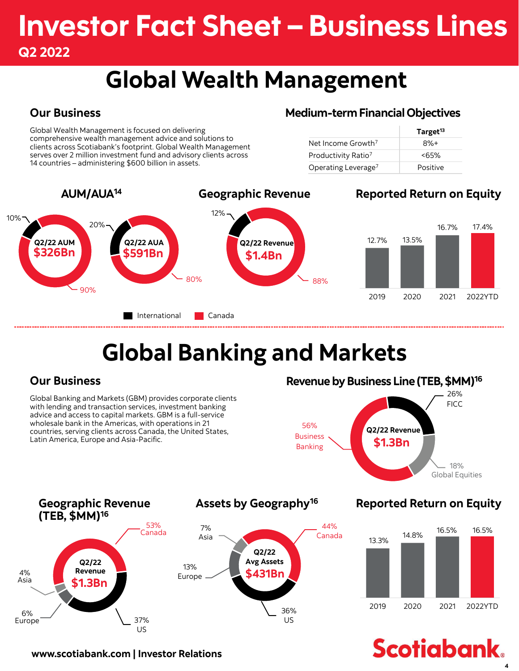# Investor Fact Sheet – Business Lines Q2 2022

# **Global Wealth Management**

### **Our Business**

Global Wealth Management is focused on delivering comprehensive wealth management advice and solutions to clients across Scotiabank's footprint. Global Wealth Management serves over 2 million investment fund and advisory clients across 14 countries – administering \$600 billion in assets.

### **Medium-term Financial Objectives**

|                                 | Target <sup>13</sup> |
|---------------------------------|----------------------|
| Net Income Growth <sup>7</sup>  | $8%+$                |
| Productivity Ratio <sup>7</sup> | <65%                 |
| Operating Leverage <sup>7</sup> | Positive             |

**4**

**Scotiabank.** 



# **Global Banking and Markets**

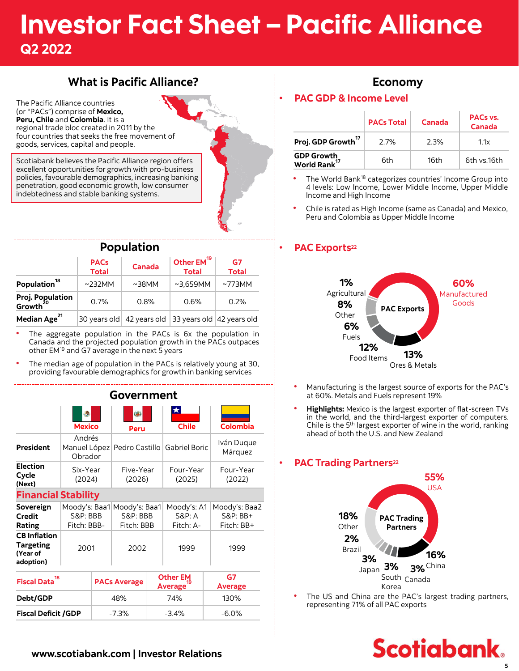# Investor Fact Sheet – Pacific Alliance Q2 2022

### **What is Pacific Alliance?**

The Pacific Alliance countries (or "PACs") comprise of **Mexico, Peru, Chile** and **Colombia**. It is a regional trade bloc created in 2011 by the four countries that seeks the free movement of goods, services, capital and people.

Scotiabank believes the Pacific Alliance region offers excellent opportunities for growth with pro-business policies, favourable demographics, increasing banking penetration, good economic growth, low consumer indebtedness and stable banking systems.

### **Population**

|                                          | <b>PACs</b><br><b>Total</b> | Canada                                              | Other EM <sup>19</sup><br><b>Total</b> | G7<br><b>Total</b> |
|------------------------------------------|-----------------------------|-----------------------------------------------------|----------------------------------------|--------------------|
| Population <sup>18</sup>                 | $\sim$ 232MM                | $~\sim$ 38MM                                        | $\sim$ 3.659MM                         | $\sim$ 773MM       |
| Proj. Population<br>Growth <sup>20</sup> | 0.7%                        | 0.8%                                                | 0.6%                                   | 0.2%               |
| Median Age <sup>21</sup>                 |                             | 30 years old 42 years old 33 years old 42 years old |                                        |                    |

- The aggregate population in the PACs is 6x the population in Canada and the projected population growth in the PACs outpaces other EM<sup>19</sup> and G7 average in the next 5 years
- The median age of population in the PACs is relatively young at 30, providing favourable demographics for growth in banking services



### **Economy**

#### • **PAC GDP & Income Level**

|                                               | <b>PACs Total</b> | Canada | PACs vs.<br>Canada |  |
|-----------------------------------------------|-------------------|--------|--------------------|--|
| Proj. GDP Growth <sup>17</sup>                | 2.7%              | 2.3%   | 1.1x               |  |
| <b>GDP Growth</b><br>World Rank <sup>17</sup> | 6th               | 16th   | 6th vs.16th        |  |

The World Bank<sup>18</sup> categorizes countries' Income Group into 4 levels: Low Income, Lower Middle Income, Upper Middle Income and High Income

• Chile is rated as High Income (same as Canada) and Mexico, Peru and Colombia as Upper Middle Income

#### • **PAC Exports<sup>22</sup>**



- Manufacturing is the largest source of exports for the PAC's at 60%. Metals and Fuels represent 19%
- **Highlights:** Mexico is the largest exporter of flat-screen TVs in the world, and the third-largest exporter of computers. Chile is the 5<sup>th</sup> largest exporter of wine in the world, ranking ahead of both the U.S. and New Zealand

#### • **PAC Trading Partners<sup>22</sup>**



The US and China are the PAC's largest trading partners, representing 71% of all PAC exports